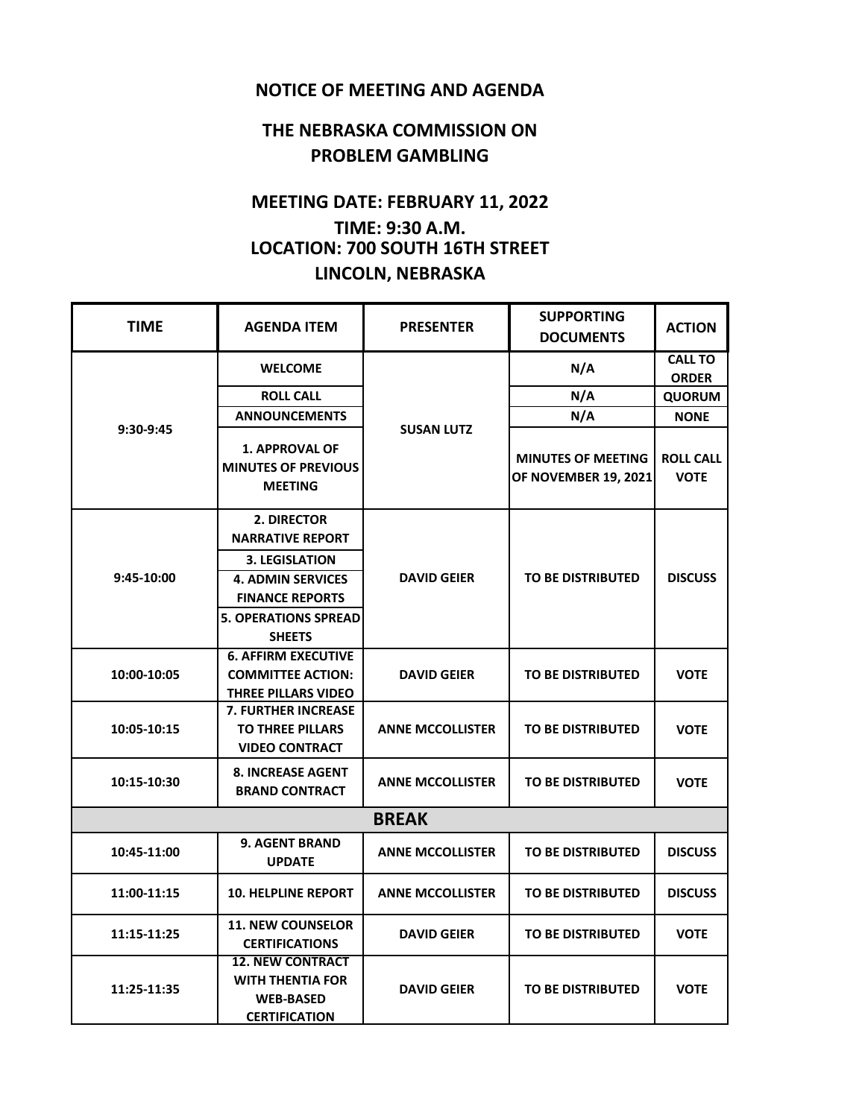## **NOTICE OF MEETING AND AGENDA**

## **THE NEBRASKA COMMISSION ON PROBLEM GAMBLING**

## **MEETING DATE: FEBRUARY 11, 2022 TIME: 9:30 A.M. LOCATION: 700 SOUTH 16TH STREET LINCOLN, NEBRASKA**

| <b>TIME</b>  | <b>AGENDA ITEM</b>                                                                             | <b>PRESENTER</b>        | <b>SUPPORTING</b><br><b>DOCUMENTS</b>                    | <b>ACTION</b>                   |  |  |  |
|--------------|------------------------------------------------------------------------------------------------|-------------------------|----------------------------------------------------------|---------------------------------|--|--|--|
| 9:30-9:45    | <b>WELCOME</b>                                                                                 | <b>SUSAN LUTZ</b>       | N/A                                                      | <b>CALL TO</b>                  |  |  |  |
|              | <b>ROLL CALL</b>                                                                               |                         | N/A                                                      | <b>ORDER</b>                    |  |  |  |
|              |                                                                                                |                         | N/A                                                      | <b>QUORUM</b>                   |  |  |  |
|              | <b>ANNOUNCEMENTS</b>                                                                           |                         |                                                          | <b>NONE</b>                     |  |  |  |
|              | <b>1. APPROVAL OF</b><br><b>MINUTES OF PREVIOUS</b><br><b>MEETING</b>                          |                         | <b>MINUTES OF MEETING</b><br><b>OF NOVEMBER 19, 2021</b> | <b>ROLL CALL</b><br><b>VOTE</b> |  |  |  |
| 9:45-10:00   | 2. DIRECTOR<br><b>NARRATIVE REPORT</b>                                                         | <b>DAVID GEIER</b>      | <b>TO BE DISTRIBUTED</b>                                 | <b>DISCUSS</b>                  |  |  |  |
|              | <b>3. LEGISLATION</b>                                                                          |                         |                                                          |                                 |  |  |  |
|              | <b>4. ADMIN SERVICES</b>                                                                       |                         |                                                          |                                 |  |  |  |
|              | <b>FINANCE REPORTS</b>                                                                         |                         |                                                          |                                 |  |  |  |
|              | <b>5. OPERATIONS SPREAD</b>                                                                    |                         |                                                          |                                 |  |  |  |
|              | <b>SHEETS</b>                                                                                  |                         |                                                          |                                 |  |  |  |
| 10:00-10:05  | <b>6. AFFIRM EXECUTIVE</b>                                                                     |                         |                                                          |                                 |  |  |  |
|              | <b>COMMITTEE ACTION:</b><br>THREE PILLARS VIDEO                                                | <b>DAVID GEIER</b>      | <b>TO BE DISTRIBUTED</b>                                 | <b>VOTE</b>                     |  |  |  |
|              | <b>7. FURTHER INCREASE</b>                                                                     |                         |                                                          |                                 |  |  |  |
| 10:05-10:15  | <b>TO THREE PILLARS</b><br><b>VIDEO CONTRACT</b>                                               | <b>ANNE MCCOLLISTER</b> | <b>TO BE DISTRIBUTED</b>                                 | <b>VOTE</b>                     |  |  |  |
| 10:15-10:30  | <b>8. INCREASE AGENT</b><br><b>BRAND CONTRACT</b>                                              | <b>ANNE MCCOLLISTER</b> | <b>TO BE DISTRIBUTED</b>                                 | <b>VOTE</b>                     |  |  |  |
| <b>BREAK</b> |                                                                                                |                         |                                                          |                                 |  |  |  |
| 10:45-11:00  | <b>9. AGENT BRAND</b><br><b>UPDATE</b>                                                         | <b>ANNE MCCOLLISTER</b> | <b>TO BE DISTRIBUTED</b>                                 | <b>DISCUSS</b>                  |  |  |  |
| 11:00-11:15  | <b>10. HELPLINE REPORT</b>                                                                     | <b>ANNE MCCOLLISTER</b> | <b>TO BE DISTRIBUTED</b>                                 | <b>DISCUSS</b>                  |  |  |  |
| 11:15-11:25  | <b>11. NEW COUNSELOR</b><br><b>CERTIFICATIONS</b>                                              | <b>DAVID GEIER</b>      | <b>TO BE DISTRIBUTED</b>                                 | <b>VOTE</b>                     |  |  |  |
| 11:25-11:35  | <b>12. NEW CONTRACT</b><br><b>WITH THENTIA FOR</b><br><b>WEB-BASED</b><br><b>CERTIFICATION</b> | <b>DAVID GEIER</b>      | <b>TO BE DISTRIBUTED</b>                                 | <b>VOTE</b>                     |  |  |  |